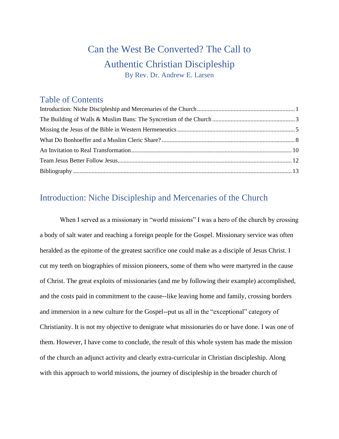# Can the West Be Converted? The Call to Authentic Christian Discipleship By Rev. Dr. Andrew E. Larsen

## Table of Contents

## <span id="page-0-0"></span>Introduction: Niche Discipleship and Mercenaries of the Church

When I served as a missionary in "world missions" I was a hero of the church by crossing a body of salt water and reaching a foreign people for the Gospel. Missionary service was often heralded as the epitome of the greatest sacrifice one could make as a disciple of Jesus Christ. I cut my teeth on biographies of mission pioneers, some of them who were martyred in the cause of Christ. The great exploits of missionaries (and me by following their example) accomplished, and the costs paid in commitment to the cause--like leaving home and family, crossing borders and immersion in a new culture for the Gospel--put us all in the "exceptional" category of Christianity. It is not my objective to denigrate what missionaries do or have done. I was one of them. However, I have come to conclude, the result of this whole system has made the mission of the church an adjunct activity and clearly extra-curricular in Christian discipleship. Along with this approach to world missions, the journey of discipleship in the broader church of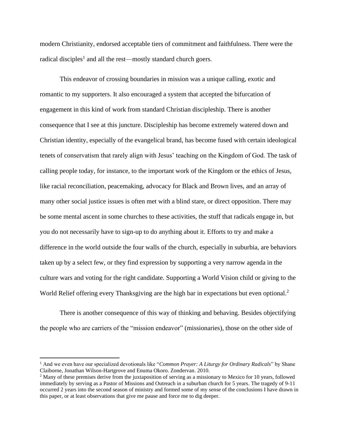modern Christianity, endorsed acceptable tiers of commitment and faithfulness. There were the radical disciples<sup>1</sup> and all the rest—mostly standard church goers.

This endeavor of crossing boundaries in mission was a unique calling, exotic and romantic to my supporters. It also encouraged a system that accepted the bifurcation of engagement in this kind of work from standard Christian discipleship. There is another consequence that I see at this juncture. Discipleship has become extremely watered down and Christian identity, especially of the evangelical brand, has become fused with certain ideological tenets of conservatism that rarely align with Jesus' teaching on the Kingdom of God. The task of calling people today, for instance, to the important work of the Kingdom or the ethics of Jesus, like racial reconciliation, peacemaking, advocacy for Black and Brown lives, and an array of many other social justice issues is often met with a blind stare, or direct opposition. There may be some mental ascent in some churches to these activities, the stuff that radicals engage in, but you do not necessarily have to sign-up to do anything about it. Efforts to try and make a difference in the world outside the four walls of the church, especially in suburbia, are behaviors taken up by a select few, or they find expression by supporting a very narrow agenda in the culture wars and voting for the right candidate. Supporting a World Vision child or giving to the World Relief offering every Thanksgiving are the high bar in expectations but even optional.<sup>2</sup>

There is another consequence of this way of thinking and behaving. Besides objectifying the people who are carriers of the "mission endeavor" (missionaries), those on the other side of

<sup>1</sup> And we even have our specialized devotionals like "*Common Prayer: A Liturgy for Ordinary Radicals*" by Shane Claiborne, Jonathan Wilson-Hartgrove and Enuma Okoro. Zondervan. 2010.

<sup>&</sup>lt;sup>2</sup> Many of these premises derive from the juxtaposition of serving as a missionary to Mexico for 10 years, followed immediately by serving as a Pastor of Missions and Outreach in a suburban church for 5 years. The tragedy of 9-11 occurred 2 years into the second season of ministry and formed some of my sense of the conclusions I have drawn in this paper, or at least observations that give me pause and force me to dig deeper.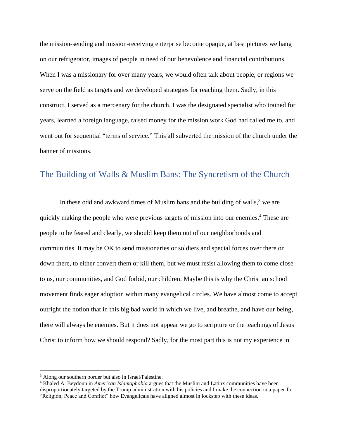the mission-sending and mission-receiving enterprise become opaque, at best pictures we hang on our refrigerator, images of people in need of our benevolence and financial contributions. When I was a missionary for over many years, we would often talk about people, or regions we serve on the field as targets and we developed strategies for reaching them. Sadly, in this construct, I served as a mercenary for the church. I was the designated specialist who trained for years, learned a foreign language, raised money for the mission work God had called me to, and went out for sequential "terms of service." This all subverted the mission of the church under the banner of missions.

## <span id="page-2-0"></span>The Building of Walls & Muslim Bans: The Syncretism of the Church

In these odd and awkward times of Muslim bans and the building of walls, $3$  we are quickly making the people who were previous targets of mission into our enemies.<sup>4</sup> These are people to be feared and clearly, we should keep them out of our neighborhoods and communities. It may be OK to send missionaries or soldiers and special forces over there or down there, to either convert them or kill them, but we must resist allowing them to come close to us, our communities, and God forbid, our children. Maybe this is why the Christian school movement finds eager adoption within many evangelical circles. We have almost come to accept outright the notion that in this big bad world in which we live, and breathe, and have our being, there will always be enemies. But it does not appear we go to scripture or the teachings of Jesus Christ to inform how we should respond? Sadly, for the most part this is not my experience in

<sup>&</sup>lt;sup>3</sup> Along our southern border but also in Israel/Palestine.

<sup>4</sup> Khaled A. Beydoun in *American Islamophobia* argues that the Muslim and Latinx communities have been disproportionately targeted by the Trump administration with his policies and I make the connection in a paper for "Religion, Peace and Conflict" how Evangelicals have aligned almost in lockstep with these ideas.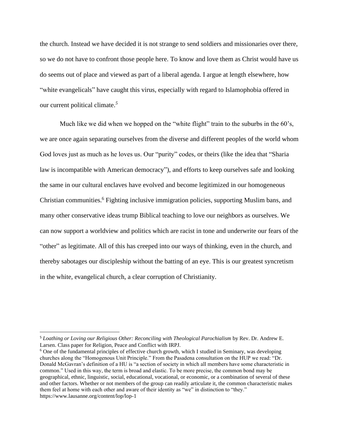the church. Instead we have decided it is not strange to send soldiers and missionaries over there, so we do not have to confront those people here. To know and love them as Christ would have us do seems out of place and viewed as part of a liberal agenda. I argue at length elsewhere, how "white evangelicals" have caught this virus, especially with regard to Islamophobia offered in our current political climate.*<sup>5</sup>*

Much like we did when we hopped on the "white flight" train to the suburbs in the 60's, we are once again separating ourselves from the diverse and different peoples of the world whom God loves just as much as he loves us. Our "purity" codes, or theirs (like the idea that "Sharia law is incompatible with American democracy"), and efforts to keep ourselves safe and looking the same in our cultural enclaves have evolved and become legitimized in our homogeneous Christian communities. <sup>6</sup> Fighting inclusive immigration policies, supporting Muslim bans, and many other conservative ideas trump Biblical teaching to love our neighbors as ourselves. We can now support a worldview and politics which are racist in tone and underwrite our fears of the "other" as legitimate. All of this has creeped into our ways of thinking, even in the church, and thereby sabotages our discipleship without the batting of an eye. This is our greatest syncretism in the white, evangelical church, a clear corruption of Christianity.

<sup>5</sup> *Loathing or Loving our Religious Other: Reconciling with Theological Parochialism* by Rev. Dr. Andrew E. Larsen. Class paper for Religion, Peace and Conflict with IRPJ.

<sup>6</sup> One of the fundamental principles of effective church growth, which I studied in Seminary, was developing churches along the "Homogenous Unit Principle." From the Pasadena consultation on the HUP we read: "Dr. Donald McGavran's definition of a HU is "a section of society in which all members have some characteristic in common." Used in this way, the term is broad and elastic. To be more precise, the common bond may be geographical, ethnic, linguistic, social, educational, vocational, or economic, or a combination of several of these and other factors. Whether or not members of the group can readily articulate it, the common characteristic makes them feel at home with each other and aware of their identity as "we" in distinction to "they." https://www.lausanne.org/content/lop/lop-1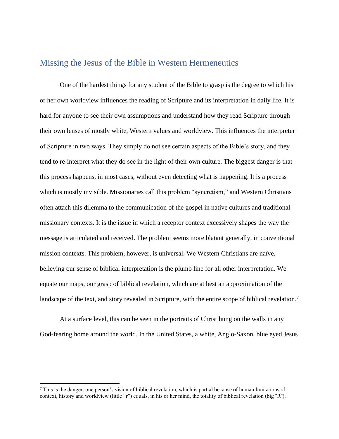#### <span id="page-4-0"></span>Missing the Jesus of the Bible in Western Hermeneutics

One of the hardest things for any student of the Bible to grasp is the degree to which his or her own worldview influences the reading of Scripture and its interpretation in daily life. It is hard for anyone to see their own assumptions and understand how they read Scripture through their own lenses of mostly white, Western values and worldview. This influences the interpreter of Scripture in two ways. They simply do not see certain aspects of the Bible's story, and they tend to re-interpret what they do see in the light of their own culture. The biggest danger is that this process happens, in most cases, without even detecting what is happening. It is a process which is mostly invisible. Missionaries call this problem "syncretism," and Western Christians often attach this dilemma to the communication of the gospel in native cultures and traditional missionary contexts. It is the issue in which a receptor context excessively shapes the way the message is articulated and received. The problem seems more blatant generally, in conventional mission contexts. This problem, however, is universal. We Western Christians are naïve, believing our sense of biblical interpretation is the plumb line for all other interpretation. We equate our maps, our grasp of biblical revelation, which are at best an approximation of the landscape of the text, and story revealed in Scripture, with the entire scope of biblical revelation.<sup>7</sup>

At a surface level, this can be seen in the portraits of Christ hung on the walls in any God-fearing home around the world. In the United States, a white, Anglo-Saxon, blue eyed Jesus

<sup>7</sup> This is the danger: one person's vision of biblical revelation, which is partial because of human limitations of context, history and worldview (little "r") equals, in his or her mind, the totality of biblical revelation (big "R").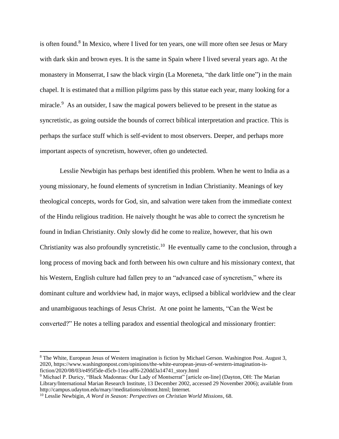is often found.<sup>8</sup> In Mexico, where I lived for ten years, one will more often see Jesus or Mary with dark skin and brown eyes. It is the same in Spain where I lived several years ago. At the monastery in Monserrat, I saw the black virgin (La Moreneta, "the dark little one") in the main chapel. It is estimated that a million pilgrims pass by this statue each year, many looking for a miracle.<sup>9</sup> As an outsider, I saw the magical powers believed to be present in the statue as syncretistic, as going outside the bounds of correct biblical interpretation and practice. This is perhaps the surface stuff which is self-evident to most observers. Deeper, and perhaps more important aspects of syncretism, however, often go undetected.

Lesslie Newbigin has perhaps best identified this problem. When he went to India as a young missionary, he found elements of syncretism in Indian Christianity. Meanings of key theological concepts, words for God, sin, and salvation were taken from the immediate context of the Hindu religious tradition. He naively thought he was able to correct the syncretism he found in Indian Christianity. Only slowly did he come to realize, however, that his own Christianity was also profoundly syncretistic.<sup>10</sup> He eventually came to the conclusion, through a long process of moving back and forth between his own culture and his missionary context, that his Western, English culture had fallen prey to an "advanced case of syncretism," where its dominant culture and worldview had, in major ways, eclipsed a biblical worldview and the clear and unambiguous teachings of Jesus Christ. At one point he laments, "Can the West be converted?" He notes a telling paradox and essential theological and missionary frontier:

<sup>8</sup> The White, European Jesus of Western imagination is fiction by Michael Gerson. Washington Post. August 3, 2020, https://www.washingtonpost.com/opinions/the-white-european-jesus-of-western-imagination-isfiction/2020/08/03/e495f5de-d5cb-11ea-aff6-220dd3a14741\_story.html

<sup>9</sup> Michael P. Duricy, "Black Madonnas: Our Lady of Montserrat" [article on-line] (Dayton, OH: The Marian Library/International Marian Research Institute, 13 December 2002, accessed 29 November 2006); available from http://campus.udayton.edu/mary//meditations/olmont.html; Internet.

<sup>10</sup> Lesslie Newbigin, *A Word in Season: Perspectives on Christian World Missions*, 68.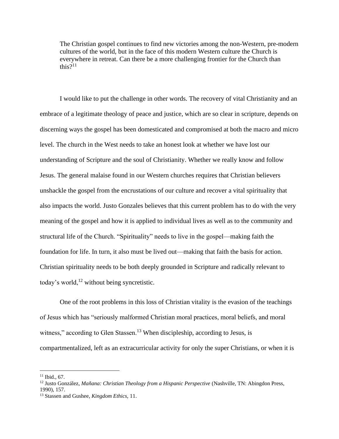The Christian gospel continues to find new victories among the non-Western, pre-modern cultures of the world, but in the face of this modern Western culture the Church is everywhere in retreat. Can there be a more challenging frontier for the Church than this? $11$ 

I would like to put the challenge in other words. The recovery of vital Christianity and an embrace of a legitimate theology of peace and justice, which are so clear in scripture, depends on discerning ways the gospel has been domesticated and compromised at both the macro and micro level. The church in the West needs to take an honest look at whether we have lost our understanding of Scripture and the soul of Christianity. Whether we really know and follow Jesus. The general malaise found in our Western churches requires that Christian believers unshackle the gospel from the encrustations of our culture and recover a vital spirituality that also impacts the world. Justo Gonzales believes that this current problem has to do with the very meaning of the gospel and how it is applied to individual lives as well as to the community and structural life of the Church. "Spirituality" needs to live in the gospel—making faith the foundation for life. In turn, it also must be lived out—making that faith the basis for action. Christian spirituality needs to be both deeply grounded in Scripture and radically relevant to today's world,<sup>12</sup> without being syncretistic.

One of the root problems in this loss of Christian vitality is the evasion of the teachings of Jesus which has "seriously malformed Christian moral practices, moral beliefs, and moral witness," according to Glen Stassen.<sup>13</sup> When discipleship, according to Jesus, is compartmentalized, left as an extracurricular activity for only the super Christians, or when it is

 $11$  Ibid., 67.

<sup>12</sup> Justo González, *Mañana: Christian Theology from a Hispanic Perspective* (Nashville, TN: Abingdon Press, 1990), 157.

<sup>13</sup> Stassen and Gushee, *Kingdom Ethics,* 11.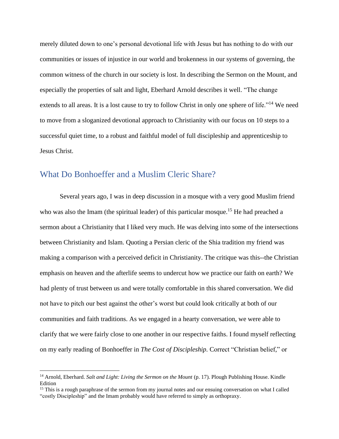merely diluted down to one's personal devotional life with Jesus but has nothing to do with our communities or issues of injustice in our world and brokenness in our systems of governing, the common witness of the church in our society is lost. In describing the Sermon on the Mount, and especially the properties of salt and light, Eberhard Arnold describes it well. "The change extends to all areas. It is a lost cause to try to follow Christ in only one sphere of life."<sup>14</sup> We need to move from a sloganized devotional approach to Christianity with our focus on 10 steps to a successful quiet time, to a robust and faithful model of full discipleship and apprenticeship to Jesus Christ.

#### <span id="page-7-0"></span>What Do Bonhoeffer and a Muslim Cleric Share?

Several years ago, I was in deep discussion in a mosque with a very good Muslim friend who was also the Imam (the spiritual leader) of this particular mosque.<sup>15</sup> He had preached a sermon about a Christianity that I liked very much. He was delving into some of the intersections between Christianity and Islam. Quoting a Persian cleric of the Shia tradition my friend was making a comparison with a perceived deficit in Christianity. The critique was this--the Christian emphasis on heaven and the afterlife seems to undercut how we practice our faith on earth? We had plenty of trust between us and were totally comfortable in this shared conversation. We did not have to pitch our best against the other's worst but could look critically at both of our communities and faith traditions. As we engaged in a hearty conversation, we were able to clarify that we were fairly close to one another in our respective faiths. I found myself reflecting on my early reading of Bonhoeffer in *The Cost of Discipleship.* Correct "Christian belief," or

<sup>&</sup>lt;sup>14</sup> Arnold, Eberhard. *Salt and Light: Living the Sermon on the Mount* (p. 17). Plough Publishing House. Kindle Edition

<sup>&</sup>lt;sup>15</sup> This is a rough paraphrase of the sermon from my journal notes and our ensuing conversation on what I called "costly Discipleship" and the Imam probably would have referred to simply as orthopraxy.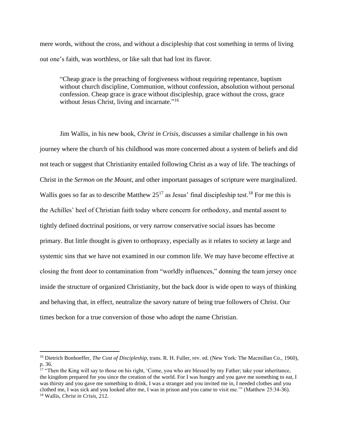mere words, without the cross, and without a discipleship that cost something in terms of living out one's faith, was worthless, or like salt that had lost its flavor.

"Cheap grace is the preaching of forgiveness without requiring repentance, baptism without church discipline, Communion, without confession, absolution without personal confession. Cheap grace is grace without discipleship, grace without the cross, grace without Jesus Christ, living and incarnate."<sup>16</sup>

Jim Wallis, in his new book, *Christ in Crisis*, discusses a similar challenge in his own journey where the church of his childhood was more concerned about a system of beliefs and did not teach or suggest that Christianity entailed following Christ as a way of life. The teachings of Christ in the *Sermon on the Mount*, and other important passages of scripture were marginalized. Wallis goes so far as to describe Matthew  $25^{17}$  as Jesus' final discipleship test.<sup>18</sup> For me this is the Achilles' heel of Christian faith today where concern for orthodoxy, and mental assent to tightly defined doctrinal positions, or very narrow conservative social issues has become primary. But little thought is given to orthopraxy, especially as it relates to society at large and systemic sins that we have not examined in our common life. We may have become effective at closing the front door to contamination from "worldly influences," donning the team jersey once inside the structure of organized Christianity, but the back door is wide open to ways of thinking and behaving that, in effect, neutralize the savory nature of being true followers of Christ. Our times beckon for a true conversion of those who adopt the name Christian.

<sup>&</sup>lt;sup>16</sup> Dietrich Bonhoeffer, *The Cost of Discipleship*, trans. R. H. Fuller, rev. ed. (New York: The Macmillan Co., 1960), p. 36.

<sup>&</sup>lt;sup>17</sup> "Then the King will say to those on his right, 'Come, you who are blessed by my Father; take your inheritance, the kingdom prepared for you since the creation of the world. For I was hungry and you gave me something to eat, I was thirsty and you gave me something to drink, I was a stranger and you invited me in, I needed clothes and you clothed me, I was sick and you looked after me, I was in prison and you came to visit me.'" (Matthew 25:34-36). <sup>18</sup> Wallis, *Christ in Crisis*, 212.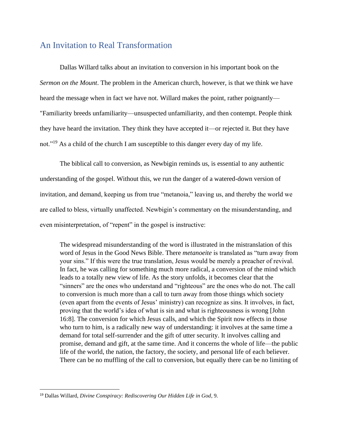## <span id="page-9-0"></span>An Invitation to Real Transformation

Dallas Willard talks about an invitation to conversion in his important book on the *Sermon on the Mount*. The problem in the American church, however, is that we think we have heard the message when in fact we have not. Willard makes the point, rather poignantly— "Familiarity breeds unfamiliarity—unsuspected unfamiliarity, and then contempt. People think they have heard the invitation. They think they have accepted it—or rejected it. But they have not."<sup>19</sup> As a child of the church I am susceptible to this danger every day of my life.

The biblical call to conversion, as Newbigin reminds us, is essential to any authentic understanding of the gospel. Without this, we run the danger of a watered-down version of invitation, and demand, keeping us from true "metanoia," leaving us, and thereby the world we are called to bless, virtually unaffected. Newbigin's commentary on the misunderstanding, and even misinterpretation, of "repent" in the gospel is instructive:

The widespread misunderstanding of the word is illustrated in the mistranslation of this word of Jesus in the Good News Bible. There *metanoeite* is translated as "turn away from your sins." If this were the true translation, Jesus would be merely a preacher of revival. In fact, he was calling for something much more radical, a conversion of the mind which leads to a totally new view of life. As the story unfolds, it becomes clear that the "sinners" are the ones who understand and "righteous" are the ones who do not. The call to conversion is much more than a call to turn away from those things which society (even apart from the events of Jesus' ministry) can recognize as sins. It involves, in fact, proving that the world's idea of what is sin and what is righteousness is wrong [John 16:8]. The conversion for which Jesus calls, and which the Spirit now effects in those who turn to him, is a radically new way of understanding: it involves at the same time a demand for total self-surrender and the gift of utter security. It involves calling and promise, demand and gift, at the same time. And it concerns the whole of life—the public life of the world, the nation, the factory, the society, and personal life of each believer. There can be no muffling of the call to conversion, but equally there can be no limiting of

<sup>19</sup> Dallas Willard, *Divine Conspiracy: Rediscovering Our Hidden Life in God*, 9.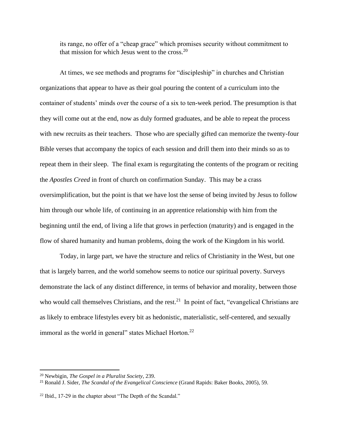its range, no offer of a "cheap grace" which promises security without commitment to that mission for which Jesus went to the cross. $20$ 

At times, we see methods and programs for "discipleship" in churches and Christian organizations that appear to have as their goal pouring the content of a curriculum into the container of students' minds over the course of a six to ten-week period. The presumption is that they will come out at the end, now as duly formed graduates, and be able to repeat the process with new recruits as their teachers. Those who are specially gifted can memorize the twenty-four Bible verses that accompany the topics of each session and drill them into their minds so as to repeat them in their sleep. The final exam is regurgitating the contents of the program or reciting the *Apostles Creed* in front of church on confirmation Sunday. This may be a crass oversimplification, but the point is that we have lost the sense of being invited by Jesus to follow him through our whole life, of continuing in an apprentice relationship with him from the beginning until the end, of living a life that grows in perfection (maturity) and is engaged in the flow of shared humanity and human problems, doing the work of the Kingdom in his world.

Today, in large part, we have the structure and relics of Christianity in the West, but one that is largely barren, and the world somehow seems to notice our spiritual poverty. Surveys demonstrate the lack of any distinct difference, in terms of behavior and morality, between those who would call themselves Christians, and the rest.<sup>21</sup> In point of fact, "evangelical Christians are as likely to embrace lifestyles every bit as hedonistic, materialistic, self-centered, and sexually immoral as the world in general" states Michael Horton.<sup>22</sup>

<sup>20</sup> Newbigin, *The Gospel in a Pluralist Society*, 239.

<sup>21</sup> Ronald J. Sider, *The Scandal of the Evangelical Conscience* (Grand Rapids: Baker Books, 2005), 59.

 $22$  Ibid., 17-29 in the chapter about "The Depth of the Scandal."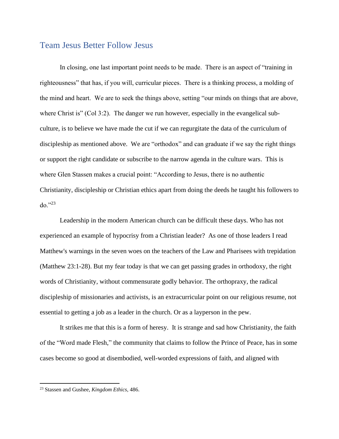#### <span id="page-11-0"></span>Team Jesus Better Follow Jesus

In closing, one last important point needs to be made. There is an aspect of "training in righteousness" that has, if you will, curricular pieces. There is a thinking process, a molding of the mind and heart. We are to seek the things above, setting "our minds on things that are above, where Christ is" (Col 3:2). The danger we run however, especially in the evangelical subculture, is to believe we have made the cut if we can regurgitate the data of the curriculum of discipleship as mentioned above. We are "orthodox" and can graduate if we say the right things or support the right candidate or subscribe to the narrow agenda in the culture wars. This is where Glen Stassen makes a crucial point: "According to Jesus, there is no authentic Christianity, discipleship or Christian ethics apart from doing the deeds he taught his followers to do."<sup>23</sup>

Leadership in the modern American church can be difficult these days. Who has not experienced an example of hypocrisy from a Christian leader? As one of those leaders I read Matthew's warnings in the seven woes on the teachers of the Law and Pharisees with trepidation (Matthew 23:1-28). But my fear today is that we can get passing grades in orthodoxy, the right words of Christianity, without commensurate godly behavior. The orthopraxy, the radical discipleship of missionaries and activists, is an extracurricular point on our religious resume, not essential to getting a job as a leader in the church. Or as a layperson in the pew.

It strikes me that this is a form of heresy. It is strange and sad how Christianity, the faith of the "Word made Flesh," the community that claims to follow the Prince of Peace, has in some cases become so good at disembodied, well-worded expressions of faith, and aligned with

<sup>23</sup> Stassen and Gushee, *Kingdom Ethics*, 486.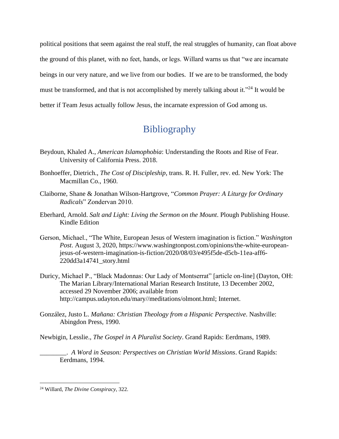political positions that seem against the real stuff, the real struggles of humanity, can float above the ground of this planet, with no feet, hands, or legs. Willard warns us that "we are incarnate beings in our very nature, and we live from our bodies. If we are to be transformed, the body must be transformed, and that is not accomplished by merely talking about it."<sup>24</sup> It would be better if Team Jesus actually follow Jesus, the incarnate expression of God among us.

## Bibliography

- <span id="page-12-0"></span>Beydoun, Khaled A., *American Islamophobia*: Understanding the Roots and Rise of Fear. University of California Press. 2018.
- Bonhoeffer, Dietrich., *The Cost of Discipleship*, trans. R. H. Fuller, rev. ed. New York: The Macmillan Co., 1960.
- Claiborne, Shane & Jonathan Wilson-Hartgrove, "*Common Prayer: A Liturgy for Ordinary Radicals*" Zondervan 2010.
- Eberhard, Arnold. *Salt and Light: Living the Sermon on the Mount*. Plough Publishing House. Kindle Edition
- Gerson, Michael., "The White, European Jesus of Western imagination is fiction." *Washington Post*. August 3, 2020, https://www.washingtonpost.com/opinions/the-white-europeanjesus-of-western-imagination-is-fiction/2020/08/03/e495f5de-d5cb-11ea-aff6- 220dd3a14741\_story.html
- Duricy, Michael P., "Black Madonnas: Our Lady of Montserrat" [article on-line] (Dayton, OH: The Marian Library/International Marian Research Institute, 13 December 2002, accessed 29 November 2006; available from http://campus.udayton.edu/mary//meditations/olmont.html; Internet.
- González, Justo L. *Mañana: Christian Theology from a Hispanic Perspective*. Nashville: Abingdon Press, 1990.

Newbigin, Lesslie., *The Gospel in A Pluralist Society*. Grand Rapids: Eerdmans, 1989.

\_\_\_\_\_\_\_\_. *A Word in Season: Perspectives on Christian World Missions*. Grand Rapids: Eerdmans, 1994.

<sup>24</sup> Willard, *The Divine Conspiracy*, 322.